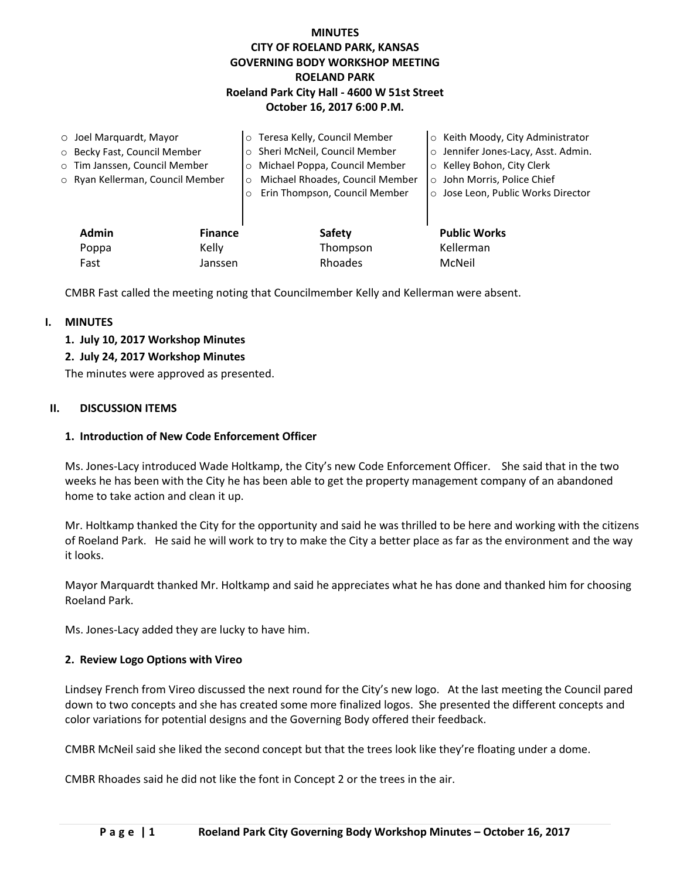# **MINUTES CITY OF ROELAND PARK, KANSAS GOVERNING BODY WORKSHOP MEETING ROELAND PARK Roeland Park City Hall - 4600 W 51st Street October 16, 2017 6:00 P.M.**

| $\circ$ Joel Marquardt, Mayor |                                  |                | o Teresa Kelly, Council Member             | ○ Keith Moody, City Administrator   |
|-------------------------------|----------------------------------|----------------|--------------------------------------------|-------------------------------------|
| ○ Becky Fast, Council Member  |                                  |                | o Sheri McNeil, Council Member             | o Jennifer Jones-Lacy, Asst. Admin. |
| o Tim Janssen, Council Member |                                  |                | Michael Poppa, Council Member<br>$\circ$   | ○ Kelley Bohon, City Clerk          |
|                               | o Ryan Kellerman, Council Member |                | Michael Rhoades, Council Member<br>$\circ$ | o John Morris, Police Chief         |
|                               |                                  |                | Erin Thompson, Council Member<br>$\circ$   | o Jose Leon, Public Works Director  |
|                               |                                  |                |                                            |                                     |
|                               | <b>Admin</b>                     | <b>Finance</b> | Safety                                     | <b>Public Works</b>                 |
|                               | Poppa                            | Kelly          | Thompson                                   | Kellerman                           |
|                               | Fast                             | Janssen        | Rhoades                                    | McNeil                              |

CMBR Fast called the meeting noting that Councilmember Kelly and Kellerman were absent.

## **I. MINUTES**

**1. July 10, 2017 Workshop Minutes**

## **2. July 24, 2017 Workshop Minutes**

The minutes were approved as presented.

### **II. DISCUSSION ITEMS**

### **1. Introduction of New Code Enforcement Officer**

Ms. Jones-Lacy introduced Wade Holtkamp, the City's new Code Enforcement Officer. She said that in the two weeks he has been with the City he has been able to get the property management company of an abandoned home to take action and clean it up.

Mr. Holtkamp thanked the City for the opportunity and said he was thrilled to be here and working with the citizens of Roeland Park. He said he will work to try to make the City a better place as far as the environment and the way it looks.

Mayor Marquardt thanked Mr. Holtkamp and said he appreciates what he has done and thanked him for choosing Roeland Park.

Ms. Jones-Lacy added they are lucky to have him.

### **2. Review Logo Options with Vireo**

Lindsey French from Vireo discussed the next round for the City's new logo. At the last meeting the Council pared down to two concepts and she has created some more finalized logos. She presented the different concepts and color variations for potential designs and the Governing Body offered their feedback.

CMBR McNeil said she liked the second concept but that the trees look like they're floating under a dome.

CMBR Rhoades said he did not like the font in Concept 2 or the trees in the air.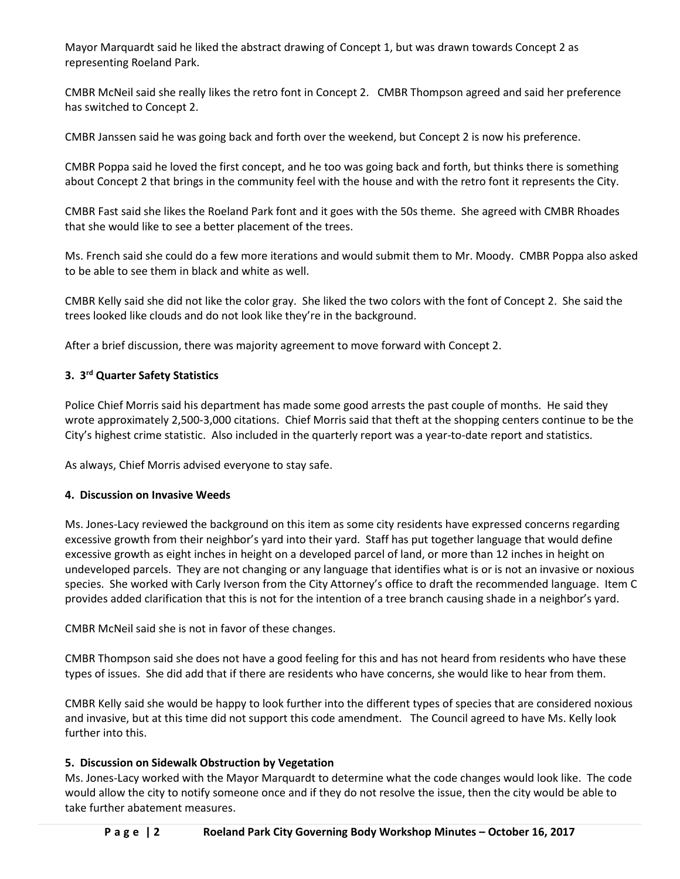Mayor Marquardt said he liked the abstract drawing of Concept 1, but was drawn towards Concept 2 as representing Roeland Park.

CMBR McNeil said she really likes the retro font in Concept 2. CMBR Thompson agreed and said her preference has switched to Concept 2.

CMBR Janssen said he was going back and forth over the weekend, but Concept 2 is now his preference.

CMBR Poppa said he loved the first concept, and he too was going back and forth, but thinks there is something about Concept 2 that brings in the community feel with the house and with the retro font it represents the City.

CMBR Fast said she likes the Roeland Park font and it goes with the 50s theme. She agreed with CMBR Rhoades that she would like to see a better placement of the trees.

Ms. French said she could do a few more iterations and would submit them to Mr. Moody. CMBR Poppa also asked to be able to see them in black and white as well.

CMBR Kelly said she did not like the color gray. She liked the two colors with the font of Concept 2. She said the trees looked like clouds and do not look like they're in the background.

After a brief discussion, there was majority agreement to move forward with Concept 2.

# **3. 3 rd Quarter Safety Statistics**

Police Chief Morris said his department has made some good arrests the past couple of months. He said they wrote approximately 2,500-3,000 citations. Chief Morris said that theft at the shopping centers continue to be the City's highest crime statistic. Also included in the quarterly report was a year-to-date report and statistics.

As always, Chief Morris advised everyone to stay safe.

## **4. Discussion on Invasive Weeds**

Ms. Jones-Lacy reviewed the background on this item as some city residents have expressed concerns regarding excessive growth from their neighbor's yard into their yard. Staff has put together language that would define excessive growth as eight inches in height on a developed parcel of land, or more than 12 inches in height on undeveloped parcels. They are not changing or any language that identifies what is or is not an invasive or noxious species. She worked with Carly Iverson from the City Attorney's office to draft the recommended language. Item C provides added clarification that this is not for the intention of a tree branch causing shade in a neighbor's yard.

CMBR McNeil said she is not in favor of these changes.

CMBR Thompson said she does not have a good feeling for this and has not heard from residents who have these types of issues. She did add that if there are residents who have concerns, she would like to hear from them.

CMBR Kelly said she would be happy to look further into the different types of species that are considered noxious and invasive, but at this time did not support this code amendment. The Council agreed to have Ms. Kelly look further into this.

## **5. Discussion on Sidewalk Obstruction by Vegetation**

Ms. Jones-Lacy worked with the Mayor Marquardt to determine what the code changes would look like. The code would allow the city to notify someone once and if they do not resolve the issue, then the city would be able to take further abatement measures.